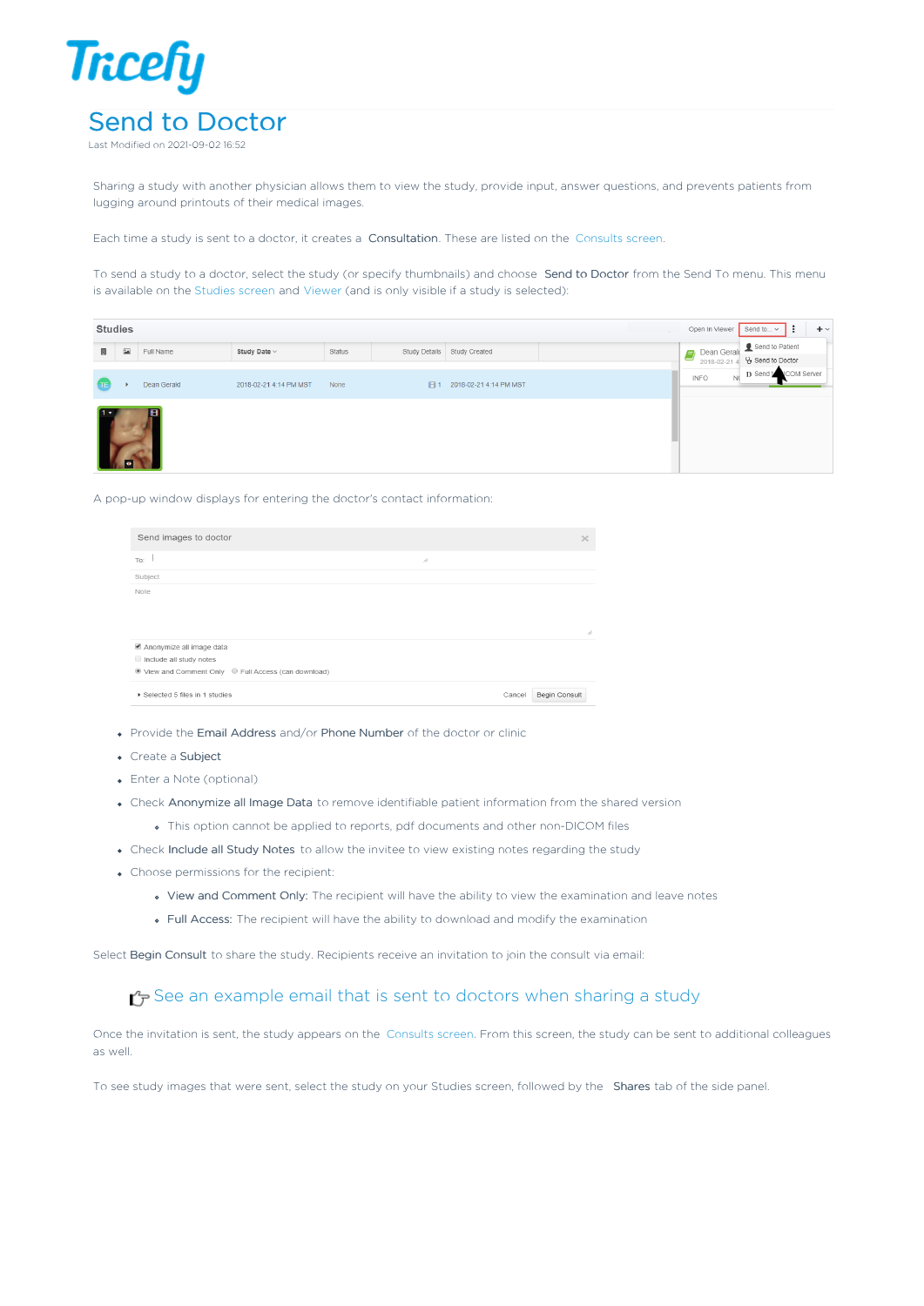

Sharing a study with another physician allows them to view the study, provide input, answer questions, and prevents patients from lugging around printouts of their medical images.

Each time a study is sent to a doctor, it creates a Consultation. These are listed on the Consults screen.

To send a study to a doctor, select the study (or specify thumbnails) and choose Send to Doctor from the Send To menu. This menu is available on the Studies screen and Viewer (and is only visible if a study is selected):

| <b>Studies</b><br>Open In Viewer<br>Send to $\sim$<br>$+$ $\vee$<br>$\ddot{\cdot}$ |                                              |             |                        |        |    |                             |  |                                                |                                                  |  |  |
|------------------------------------------------------------------------------------|----------------------------------------------|-------------|------------------------|--------|----|-----------------------------|--|------------------------------------------------|--------------------------------------------------|--|--|
| 圓                                                                                  | $\boxed{\underline{\underline{\mathbf{L}}}}$ | Full Name   | Study Date ~           | Status |    | Study Details Study Created |  | Dean Gerald<br>l = h<br>$\equiv$<br>2018-02-21 | Send to Patient<br>Y <sub>2</sub> Send to Doctor |  |  |
| (TE                                                                                |                                              | Dean Gerald | 2018-02-21 4:14 PM MST | None   | 田1 | 2018-02-21 4:14 PM MST      |  | <b>INFO</b><br>N <sub>C</sub>                  | D Send to ICOM Server                            |  |  |
|                                                                                    |                                              | H           |                        |        |    |                             |  |                                                |                                                  |  |  |

A pop-up window displays for entering the doctor's contact information:

| Send images to doctor                                |    | $\times$                |
|------------------------------------------------------|----|-------------------------|
| To:                                                  | 1. |                         |
| Subject                                              |    |                         |
| Note                                                 |    |                         |
|                                                      |    |                         |
|                                                      |    |                         |
|                                                      |    | h                       |
| Anonymize all image data                             |    |                         |
| Include all study notes                              |    |                         |
| ● View and Comment Only ● Full Access (can download) |    |                         |
| Selected 5 files in 1 studies                        |    | Begin Consult<br>Cancel |

- Provide the Email Address and/or Phone Number of the doctor or clinic
- Create a Subject
- Enter a Note (optional)
- Check Anonymize all Image Data to remove identifiable patient information from the shared version
	- This option cannot be applied to reports, pdf documents and other non-DICOM files
- Check Include all Study Notes to allow the invitee to view existing notes regarding the study
- Choose permissions for the recipient:
	- View and Comment Only: The recipient will have the ability to view the examination and leave notes
	- Full Access: The recipient will have the ability to download and modify the examination

Select Begin Consult to share the study. Recipients receive an invitation to join the consult via email:

## See an example email that is sent to doctors when sharing a study

Once the invitation is sent, the study appears on the Consults screen. From this screen, the study can be sent to additional colleagues as well.

To see study images that were sent, select the study on your Studies screen, followed by the Shares tab of the side panel.